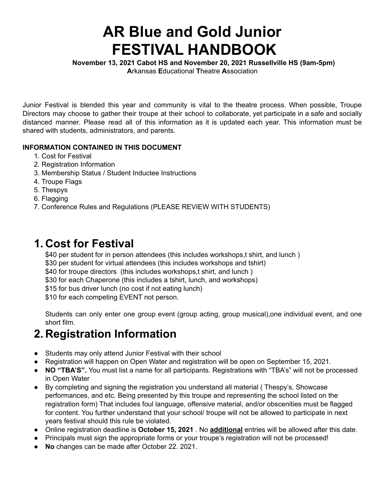# **AR Blue and Gold Junior FESTIVAL HANDBOOK**

**November 13, 2021 Cabot HS and November 20, 2021 Russellville HS (9am-5pm)**

**A**rkansas **E**ducational **T**heatre **A**ssociation

Junior Festival is blended this year and community is vital to the theatre process. When possible, Troupe Directors may choose to gather their troupe at their school to collaborate, yet participate in a safe and socially distanced manner. Please read all of this information as it is updated each year. This information must be shared with students, administrators, and parents.

### **INFORMATION CONTAINED IN THIS DOCUMENT**

- 1. Cost for Festival
- 2. Registration Information
- 3. Membership Status / Student Inductee Instructions
- 4. Troupe Flags
- 5. Thespys
- 6. Flagging
- 7. Conference Rules and Regulations (PLEASE REVIEW WITH STUDENTS)

### **1. Cost for Festival**

\$40 per student for in person attendees (this includes workshops,t shirt, and lunch) \$30 per student for virtual attendees (this includes workshops and tshirt) \$40 for troupe directors (this includes workshops,t shirt, and lunch) \$30 for each Chaperone (this includes a tshirt, lunch, and workshops) \$15 for bus driver lunch (no cost if not eating lunch) \$10 for each competing EVENT not person.

Students can only enter one group event (group acting, group musical),one individual event, and one short film.

## **2. Registration Information**

- Students may only attend Junior Festival with their school
- Registration will happen on Open Water and registration will be open on September 15, 2021.
- **NO "TBA'S".** You must list a name for all participants. Registrations with "TBA's" will not be processed in Open Water
- By completing and signing the registration you understand all material ( Thespy's, Showcase performances, and etc. Being presented by this troupe and representing the school listed on the registration form) That includes foul language, offensive material, and/or obscenities must be flagged for content. You further understand that your school/ troupe will not be allowed to participate in next years festival should this rule be violated.
- Online registration deadline is **October 15, 2021** . No **additional** entries will be allowed after this date.
- Principals must sign the appropriate forms or your troupe's registration will not be processed!
- **No** changes can be made after October 22. 2021.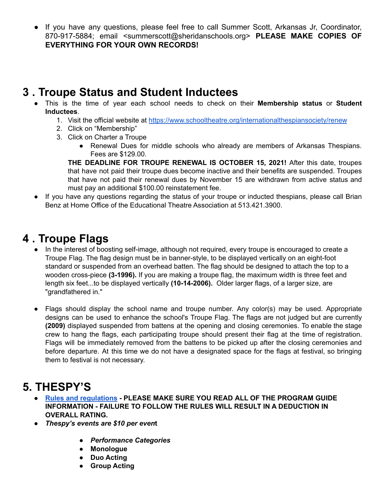● If you have any questions, please feel free to call Summer Scott, Arkansas Jr, Coordinator, 870-917-5884; email <summerscott@sheridanschools.org> **PLEASE MAKE COPIES OF EVERYTHING FOR YOUR OWN RECORDS!**

### **3 . Troupe Status and Student Inductees**

- This is the time of year each school needs to check on their **Membership status** or **Student Inductees**.
	- 1. Visit the official website at <https://www.schooltheatre.org/internationalthespiansociety/renew>
	- 2. Click on "Membership"
	- 3. Click on Charter a Troupe
		- Renewal Dues for middle schools who already are members of Arkansas Thespians. Fees are \$129.00.

**THE DEADLINE FOR TROUPE RENEWAL IS OCTOBER 15, 2021!** After this date, troupes that have not paid their troupe dues become inactive and their benefits are suspended. Troupes that have not paid their renewal dues by November 15 are withdrawn from active status and must pay an additional \$100.00 reinstatement fee.

● If you have any questions regarding the status of your troupe or inducted thespians, please call Brian Benz at Home Office of the Educational Theatre Association at 513.421.3900.

## **4 . Troupe Flags**

- In the interest of boosting self-image, although not required, every troupe is encouraged to create a Troupe Flag. The flag design must be in banner-style, to be displayed vertically on an eight-foot standard or suspended from an overhead batten. The flag should be designed to attach the top to a wooden cross-piece **(3-1996).** If you are making a troupe flag, the maximum width is three feet and length six feet...to be displayed vertically **(10-14-2006).** Older larger flags, of a larger size, are "grandfathered in."
- Flags should display the school name and troupe number. Any color(s) may be used. Appropriate designs can be used to enhance the school's Troupe Flag. The flags are not judged but are currently **(2009)** displayed suspended from battens at the opening and closing ceremonies. To enable the stage crew to hang the flags, each participating troupe should present their flag at the time of registration. Flags will be immediately removed from the battens to be picked up after the closing ceremonies and before departure. At this time we do not have a designated space for the flags at festival, so bringing them to festival is not necessary.

## **5. THESPY'S**

- **● Rules and [regulations](https://docs.google.com/document/d/1I3aRmLgaf2TvFGEm5F1NN4YvB6qK8UWVCordm41aQ8Q/edit?usp=sharing) - PLEASE MAKE SURE YOU READ ALL OF THE PROGRAM GUIDE INFORMATION - FAILURE TO FOLLOW THE RULES WILL RESULT IN A DEDUCTION IN OVERALL RATING.**
- **●** *Thespy's events are \$10 per even***t**
	- *● Performance Categories*
	- **● Monologue**
	- **● Duo Acting**
	- **● Group Acting**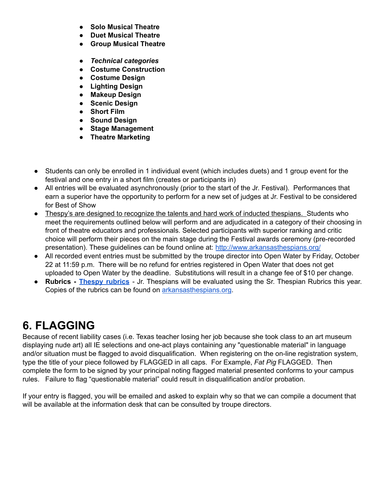- **● Solo Musical Theatre**
- **● Duet Musical Theatre**
- **● Group Musical Theatre**
- **●** *Technical categories*
- **● Costume Construction**
- **● Costume Design**
- **● Lighting Design**
- **● Makeup Design**
- **● Scenic Design**
- **● Short Film**
- **● Sound Design**
- **● Stage Management**
- **● Theatre Marketing**
- Students can only be enrolled in 1 individual event (which includes duets) and 1 group event for the festival and one entry in a short film (creates or participants in)
- All entries will be evaluated asynchronously (prior to the start of the Jr. Festival). Performances that earn a superior have the opportunity to perform for a new set of judges at Jr. Festival to be considered for Best of Show
- Thespy's are designed to recognize the talents and hard work of inducted thespians. Students who meet the requirements outlined below will perform and are adjudicated in a category of their choosing in front of theatre educators and professionals. Selected participants with superior ranking and critic choice will perform their pieces on the main stage during the Festival awards ceremony (pre-recorded presentation). These guidelines can be found online at: <http://www.arkansasthespians.org/>
- All recorded event entries must be submitted by the troupe director into Open Water by Friday, October 22 at 11:59 p.m. There will be no refund for entries registered in Open Water that does not get uploaded to Open Water by the deadline. Substitutions will result in a change fee of \$10 per change.
- **Rubrics - [Thespy](https://www.schooltheatre.org/viewdocument/2016-2017-nies-rubri) rubrics** Jr. Thespians will be evaluated using the Sr. Thespian Rubrics this year. Copies of the rubrics can be found on [arkansasthespians.org](https://www.schooltheatre.org/membership/chapters/arkansas).

## **6. FLAGGING**

Because of recent liability cases (i.e. Texas teacher losing her job because she took class to an art museum displaying nude art) all IE selections and one-act plays containing any "questionable material" in language and/or situation must be flagged to avoid disqualification. When registering on the on-line registration system, type the title of your piece followed by FLAGGED in all caps. For Example, *Fat Pig* FLAGGED. Then complete the form to be signed by your principal noting flagged material presented conforms to your campus rules. Failure to flag "questionable material" could result in disqualification and/or probation.

If your entry is flagged, you will be emailed and asked to explain why so that we can compile a document that will be available at the information desk that can be consulted by troupe directors.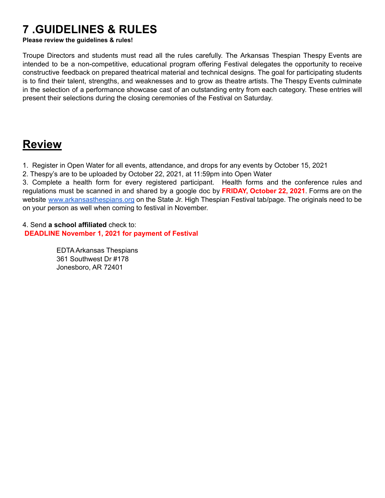## **7 .GUIDELINES & RULES**

#### **Please review the guidelines & rules!**

Troupe Directors and students must read all the rules carefully. The Arkansas Thespian Thespy Events are intended to be a non-competitive, educational program offering Festival delegates the opportunity to receive constructive feedback on prepared theatrical material and technical designs. The goal for participating students is to find their talent, strengths, and weaknesses and to grow as theatre artists. The Thespy Events culminate in the selection of a performance showcase cast of an outstanding entry from each category. These entries will present their selections during the closing ceremonies of the Festival on Saturday.

### **Review**

1. Register in Open Water for all events, attendance, and drops for any events by October 15, 2021

2. Thespy's are to be uploaded by October 22, 2021, at 11:59pm into Open Water

3. Complete a health form for every registered participant. Health forms and the conference rules and regulations must be scanned in and shared by a google doc by **FRIDAY, October 22, 2021**. Forms are on the website [www.arkansasthespians.org](http://www.arkansasthespians.com) on the State Jr. High Thespian Festival tab/page. The originals need to be on your person as well when coming to festival in November.

4. Send **a school affiliated** check to: **DEADLINE November 1, 2021 for payment of Festival**

> EDTA Arkansas Thespians 361 Southwest Dr #178 Jonesboro, AR 72401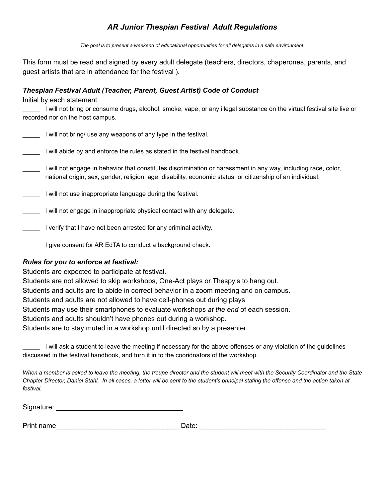### *AR Junior Thespian Festival Adult Regulations*

*The goal is to present a weekend of educational opportunities for all delegates in a safe environment.*

This form must be read and signed by every adult delegate (teachers, directors, chaperones, parents, and guest artists that are in attendance for the festival ).

### *Thespian Festival Adult (Teacher, Parent, Guest Artist) Code of Conduct*

Initial by each statement

\_\_\_\_\_ I will not bring or consume drugs, alcohol, smoke, vape, or any illegal substance on the virtual festival site live or recorded nor on the host campus.

I will not bring/ use any weapons of any type in the festival.

I will abide by and enforce the rules as stated in the festival handbook.

- \_\_\_\_\_ I will not engage in behavior that constitutes discrimination or harassment in any way, including race, color, national origin, sex, gender, religion, age, disability, economic status, or citizenship of an individual.
- **The light villet of use inappropriate language during the festival.**
- \_\_\_\_\_ I will not engage in inappropriate physical contact with any delegate.
- **The I** verify that I have not been arrested for any criminal activity.
- **Figure 1** give consent for AR EdTA to conduct a background check.

#### *Rules for you to enforce at festival:*

Students are expected to participate at festival.

Students are not allowed to skip workshops, One-Act plays or Thespy's to hang out.

Students and adults are to abide in correct behavior in a zoom meeting and on campus.

Students and adults are not allowed to have cell-phones out during plays

Students may use their smartphones to evaluate workshops *at the end* of each session.

Students and adults shouldn't have phones out during a workshop.

Students are to stay muted in a workshop until directed so by a presenter.

\_\_\_\_\_ I will ask a student to leave the meeting if necessary for the above offenses or any violation of the guidelines discussed in the festival handbook, and turn it in to the cooridnators of the workshop.

*When a member is asked to leave the meeting, the troupe director and the student will meet with the Security Coordinator and the State Chapter Director, Daniel Stahl. In all cases, a letter will be sent to the student's principal stating the offense and the action taken at festival.*

| Signature: |  |  |  |
|------------|--|--|--|
|            |  |  |  |

Print name that the control of the control of the control of the control of the control of the control of the control of the control of the control of the control of the control of the control of the control of the control